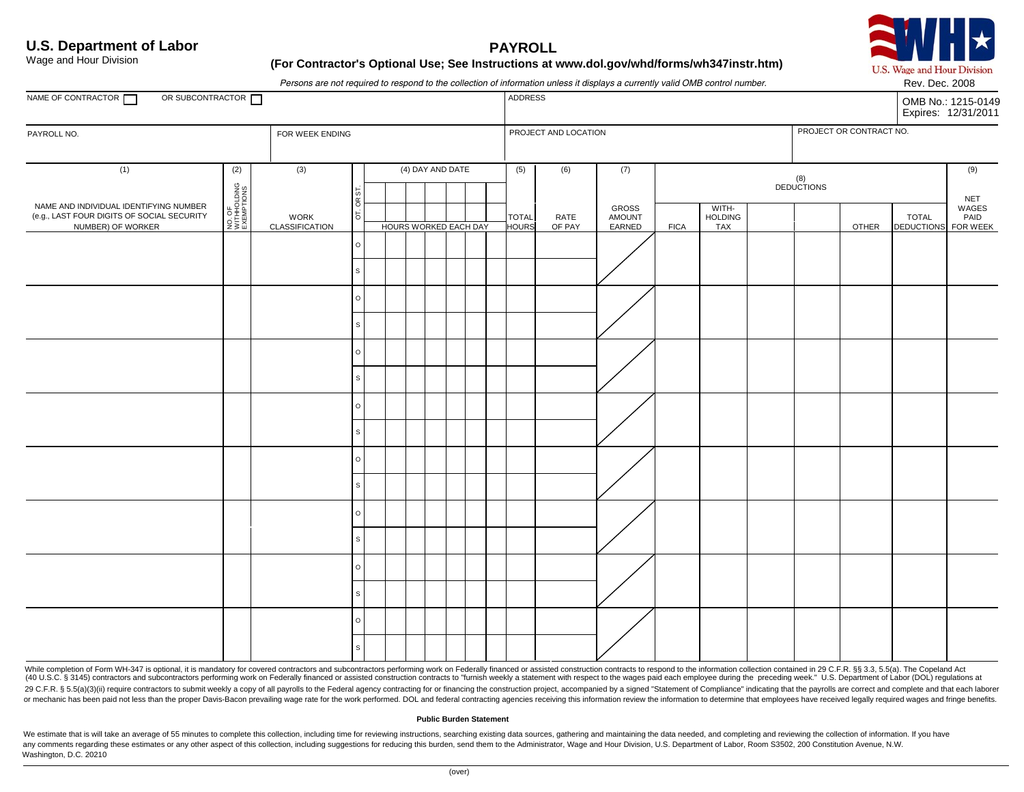## **U.S. Department of Labor PAYROLL**

U.S. Wage and Hour Division Rev. Dec. 2008

Wage and Hour Division

## Wage and Hour Division **Example 20 and Hour Contractor's Optional Use; See Instructions at www.dol.gov/whd/forms/wh347instr.htm)**

*Persons are not required to respond to the collection of information unless it displays a currently valid OMB control number.* 

| OR SUBCONTRACTOR<br>NAME OF CONTRACTOR                                                                           |                                            |                               |              |                       |  |  |  | I crootip are not required to respond to the conceitori or information anicso it displays a carrently valid child control number.<br><b>ADDRESS</b> |                |                           |                   |                                       |  |  |                         | <b>INGV. DUG. ZUUU</b><br>OMB No.: 1215-0149<br>Expires: 12/31/2011 |                                      |  |
|------------------------------------------------------------------------------------------------------------------|--------------------------------------------|-------------------------------|--------------|-----------------------|--|--|--|-----------------------------------------------------------------------------------------------------------------------------------------------------|----------------|---------------------------|-------------------|---------------------------------------|--|--|-------------------------|---------------------------------------------------------------------|--------------------------------------|--|
| PAYROLL NO.                                                                                                      |                                            | FOR WEEK ENDING               |              |                       |  |  |  | PROJECT AND LOCATION                                                                                                                                |                |                           |                   |                                       |  |  | PROJECT OR CONTRACT NO. |                                                                     |                                      |  |
| (1)<br>NAME AND INDIVIDUAL IDENTIFYING NUMBER<br>(e.g., LAST FOUR DIGITS OF SOCIAL SECURITY<br>NUMBER) OF WORKER | (2)<br>NO. OF<br>WITHHOLDING<br>EXEMPTIONS | (3)<br>WORK<br>CLASSIFICATION |              | (4) DAY AND DATE      |  |  |  | (5)                                                                                                                                                 | (6)            | (7)                       | (8)<br>DEDUCTIONS |                                       |  |  | (9)<br><b>NET</b>       |                                                                     |                                      |  |
|                                                                                                                  |                                            |                               | õ<br>5       | HOURS WORKED EACH DAY |  |  |  | <b>TOTAL</b><br><b>HOURS</b>                                                                                                                        | RATE<br>OF PAY | GROSS<br>AMOUNT<br>EARNED | <b>FICA</b>       | WITH-<br><b>HOLDING</b><br><b>TAX</b> |  |  | <b>OTHER</b>            | <b>TOTAL</b>                                                        | WAGES<br>PAID<br>DEDUCTIONS FOR WEEK |  |
|                                                                                                                  |                                            |                               | $\circ$      |                       |  |  |  |                                                                                                                                                     |                |                           |                   |                                       |  |  |                         |                                                                     |                                      |  |
|                                                                                                                  |                                            |                               |              |                       |  |  |  |                                                                                                                                                     |                |                           |                   |                                       |  |  |                         |                                                                     |                                      |  |
|                                                                                                                  |                                            |                               | $\circ$      |                       |  |  |  |                                                                                                                                                     |                |                           |                   |                                       |  |  |                         |                                                                     |                                      |  |
|                                                                                                                  |                                            |                               | $\mathsf{s}$ |                       |  |  |  |                                                                                                                                                     |                |                           |                   |                                       |  |  |                         |                                                                     |                                      |  |
|                                                                                                                  |                                            |                               | $\circ$      |                       |  |  |  |                                                                                                                                                     |                |                           |                   |                                       |  |  |                         |                                                                     |                                      |  |
|                                                                                                                  |                                            |                               | $\mathsf{s}$ |                       |  |  |  |                                                                                                                                                     |                |                           |                   |                                       |  |  |                         |                                                                     |                                      |  |
|                                                                                                                  |                                            |                               | $\circ$      |                       |  |  |  |                                                                                                                                                     |                |                           |                   |                                       |  |  |                         |                                                                     |                                      |  |
|                                                                                                                  |                                            |                               | s            |                       |  |  |  |                                                                                                                                                     |                |                           |                   |                                       |  |  |                         |                                                                     |                                      |  |
|                                                                                                                  |                                            |                               | $\circ$      |                       |  |  |  |                                                                                                                                                     |                |                           |                   |                                       |  |  |                         |                                                                     |                                      |  |
|                                                                                                                  |                                            |                               | S            |                       |  |  |  |                                                                                                                                                     |                |                           |                   |                                       |  |  |                         |                                                                     |                                      |  |
|                                                                                                                  |                                            |                               | $\circ$      |                       |  |  |  |                                                                                                                                                     |                |                           |                   |                                       |  |  |                         |                                                                     |                                      |  |
|                                                                                                                  |                                            |                               | s            |                       |  |  |  |                                                                                                                                                     |                |                           |                   |                                       |  |  |                         |                                                                     |                                      |  |
|                                                                                                                  |                                            |                               | $\circ$      |                       |  |  |  |                                                                                                                                                     |                |                           |                   |                                       |  |  |                         |                                                                     |                                      |  |
|                                                                                                                  |                                            |                               | s            |                       |  |  |  |                                                                                                                                                     |                |                           |                   |                                       |  |  |                         |                                                                     |                                      |  |
|                                                                                                                  |                                            |                               | $\circ$      |                       |  |  |  |                                                                                                                                                     |                |                           |                   |                                       |  |  |                         |                                                                     |                                      |  |
|                                                                                                                  |                                            |                               | $\mathbb S$  |                       |  |  |  |                                                                                                                                                     |                |                           |                   |                                       |  |  |                         |                                                                     |                                      |  |

While completion of Form WH-347 is optional, it is mandatory for covered contractors and subcontractors performing work on Federally financed or assisted construction contracts to respond to the information collection cont (40 U.S.C. § 3145) contractors and subcontractors performing work on Federally financed or assisted construction contracts to "furnish weekly a statement with respect to the wages paid each employee during the preceding we 29 C.F.R. § 5.5(a)(3)(ii) require contractors to submit weekly a copy of all payrolls to the Federal agency contracting for or financing the construction project, accompanied by a signed "Statement of Compliance" indicatin or mechanic has been paid not less than the proper Davis-Bacon prevailing wage rate for the work performed. DOL and federal contracting agencies receiving this information review the information to determine that employees

#### **Public Burden Statement**

We estimate that is will take an average of 55 minutes to complete this collection, including time for reviewing instructions, searching existing data sources, gathering and maintaining the data needed, and completing and any comments regarding these estimates or any other aspect of this collection, including suggestions for reducing this burden, send them to the Administrator, Wage and Hour Division, U.S. Department of Labor, Room S3502, 2 Washington, D.C. 20210